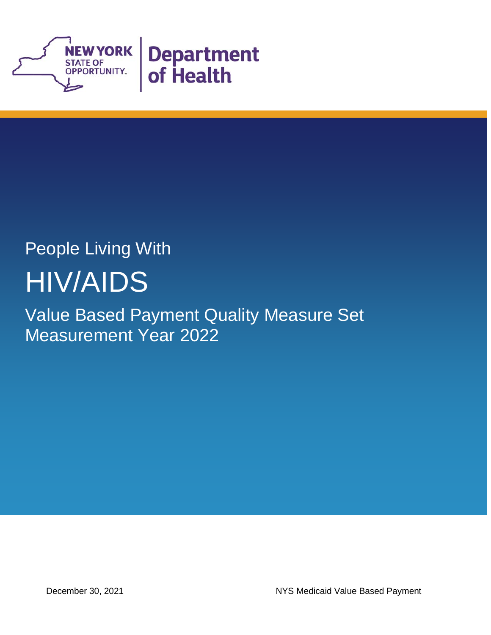

## People Living With HIV/AIDS

Value Based Payment Quality Measure Set Measurement Year 2022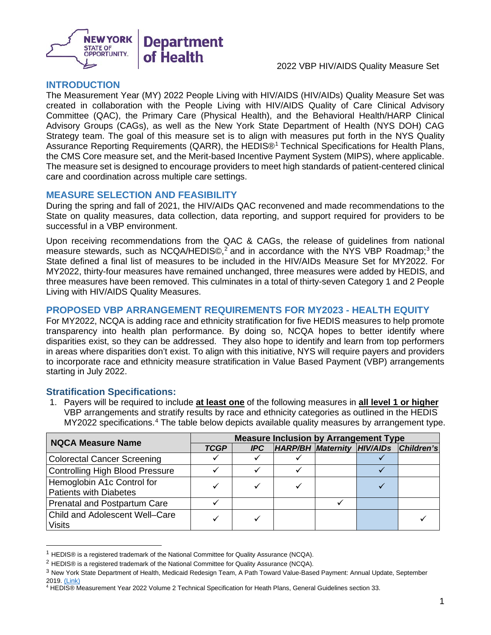

#### **INTRODUCTION**

The Measurement Year (MY) 2022 People Living with HIV/AIDS (HIV/AIDs) Quality Measure Set was created in collaboration with the People Living with HIV/AIDS Quality of Care Clinical Advisory Committee (QAC), the Primary Care (Physical Health), and the Behavioral Health/HARP Clinical Advisory Groups (CAGs), as well as the New York State Department of Health (NYS DOH) CAG Strategy team. The goal of this measure set is to align with measures put forth in the NYS Quality Assurance Reporting Requirements (QARR), the HEDIS®[1](#page-2-0) Technical Specifications for Health Plans, the CMS Core measure set, and the Merit-based Incentive Payment System (MIPS), where applicable. The measure set is designed to encourage providers to meet high standards of patient-centered clinical care and coordination across multiple care settings.

#### **MEASURE SELECTION AND FEASIBILITY**

During the spring and fall of 2021, the HIV/AIDs QAC reconvened and made recommendations to the State on quality measures, data collection, data reporting, and support required for providers to be successful in a VBP environment.

Upon receiving recommendations from the QAC & CAGs, the release of guidelines from national measure stewards, such as NCQA/HEDIS©,<sup>[2](#page-2-1)</sup> and in accordance with the NYS VBP Roadmap;<sup>[3](#page-2-2)</sup> the State defined a final list of measures to be included in the HIV/AIDs Measure Set for MY2022. For MY2022, thirty-four measures have remained unchanged, three measures were added by HEDIS, and three measures have been removed. This culminates in a total of thirty-seven Category 1 and 2 People Living with HIV/AIDS Quality Measures.

#### **PROPOSED VBP ARRANGEMENT REQUIREMENTS FOR MY2023 - HEALTH EQUITY**

For MY2022, NCQA is adding race and ethnicity stratification for five HEDIS measures to help promote transparency into health plan performance. By doing so, NCQA hopes to better identify where disparities exist, so they can be addressed. They also hope to identify and learn from top performers in areas where disparities don't exist. To align with this initiative, NYS will require payers and providers to incorporate race and ethnicity measure stratification in Value Based Payment (VBP) arrangements starting in July 2022.

#### **Stratification Specifications:**

1. Payers will be required to include **at least one** of the following measures in **all level 1 or higher** VBP arrangements and stratify results by race and ethnicity categories as outlined in the HEDIS MY2022 specifications.<sup>[4](#page-2-3)</sup> The table below depicts available quality measures by arrangement type.

| <b>NQCA Measure Name</b>                                    | <b>Measure Inclusion by Arrangement Type</b> |  |  |  |  |                                       |
|-------------------------------------------------------------|----------------------------------------------|--|--|--|--|---------------------------------------|
|                                                             | <b>TCGP</b><br><b>IPC</b>                    |  |  |  |  | HARP/BH Maternity HIV/AIDs Children's |
| <b>Colorectal Cancer Screening</b>                          |                                              |  |  |  |  |                                       |
| <b>Controlling High Blood Pressure</b>                      |                                              |  |  |  |  |                                       |
| Hemoglobin A1c Control for<br><b>Patients with Diabetes</b> |                                              |  |  |  |  |                                       |
| <b>Prenatal and Postpartum Care</b>                         |                                              |  |  |  |  |                                       |
| <b>Child and Adolescent Well-Care</b><br><b>Visits</b>      |                                              |  |  |  |  |                                       |

<span id="page-2-0"></span><sup>1</sup> HEDIS® is a registered trademark of the National Committee for Quality Assurance (NCQA).

<span id="page-2-1"></span> $2$  HEDIS® is a registered trademark of the National Committee for Quality Assurance (NCQA).

<span id="page-2-2"></span><sup>3</sup> New York State Department of Health, Medicaid Redesign Team, A Path Toward Value-Based Payment: Annual Update, September 2019. [\(Link\)](https://www.health.ny.gov/health_care/medicaid/redesign/dsrip/vbp_library/2020/docs/2019-09_final_vbp_roadmap.pdf)

<span id="page-2-3"></span><sup>4</sup> HEDIS® Measurement Year 2022 Volume 2 Technical Specification for Heath Plans, General Guidelines section 33.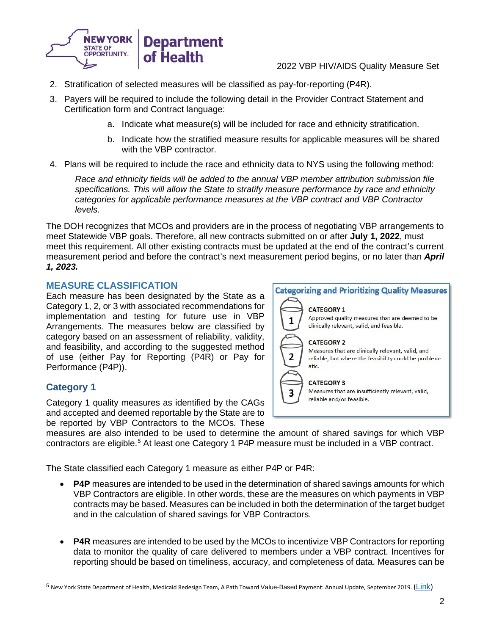

- 2. Stratification of selected measures will be classified as pay-for-reporting (P4R).
- 3. Payers will be required to include the following detail in the Provider Contract Statement and Certification form and Contract language:
	- a. Indicate what measure(s) will be included for race and ethnicity stratification.
	- b. Indicate how the stratified measure results for applicable measures will be shared with the VBP contractor.
- 4. Plans will be required to include the race and ethnicity data to NYS using the following method:

*Race and ethnicity fields will be added to the annual VBP member attribution submission file specifications. This will allow the State to stratify measure performance by race and ethnicity categories for applicable performance measures at the VBP contract and VBP Contractor levels.* 

The DOH recognizes that MCOs and providers are in the process of negotiating VBP arrangements to meet Statewide VBP goals. Therefore, all new contracts submitted on or after **July 1, 2022**, must meet this requirement. All other existing contracts must be updated at the end of the contract's current measurement period and before the contract's next measurement period begins, or no later than *April 1, 2023.*

#### **MEASURE CLASSIFICATION**

Each measure has been designated by the State as a Category 1, 2, or 3 with associated recommendations for implementation and testing for future use in VBP Arrangements. The measures below are classified by category based on an assessment of reliability, validity, and feasibility, and according to the suggested method of use (either Pay for Reporting (P4R) or Pay for Performance (P4P)).

#### **Category 1**

Category 1 quality measures as identified by the CAGs and accepted and deemed reportable by the State are to be reported by VBP Contractors to the MCOs. These **Categorizing and Prioritizing Quality Measures CATEGORY 1** Approved quality measures that are deemed to be  $\mathbf{1}$ clinically relevant, valid, and feasible. **CATEGORY 2** Measures that are clinically relevant, valid, and 2 reliable, but where the feasibility could be problematic. **CATEGORY 3** Measures that are insufficiently relevant, valid, 3 reliable and/or feasible.

measures are also intended to be used to determine the amount of shared savings for which VBP contractors are eligible. [5](#page-3-0) At least one Category 1 P4P measure must be included in a VBP contract.

The State classified each Category 1 measure as either P4P or P4R:

- **P4P** measures are intended to be used in the determination of shared savings amounts for which VBP Contractors are eligible. In other words, these are the measures on which payments in VBP contracts may be based. Measures can be included in both the determination of the target budget and in the calculation of shared savings for VBP Contractors.
- **P4R** measures are intended to be used by the MCOs to incentivize VBP Contractors for reporting data to monitor the quality of care delivered to members under a VBP contract. Incentives for reporting should be based on timeliness, accuracy, and completeness of data. Measures can be

<span id="page-3-0"></span><sup>&</sup>lt;sup>5</sup> New York State Department of Health, Medicaid Redesign Team, A Path Toward Value-Based Payment: Annual Update, September 2019. ([Link](https://www.health.ny.gov/health_care/medicaid/redesign/dsrip/vbp_library/2020/docs/2019-09_final_vbp_roadmap.pdf))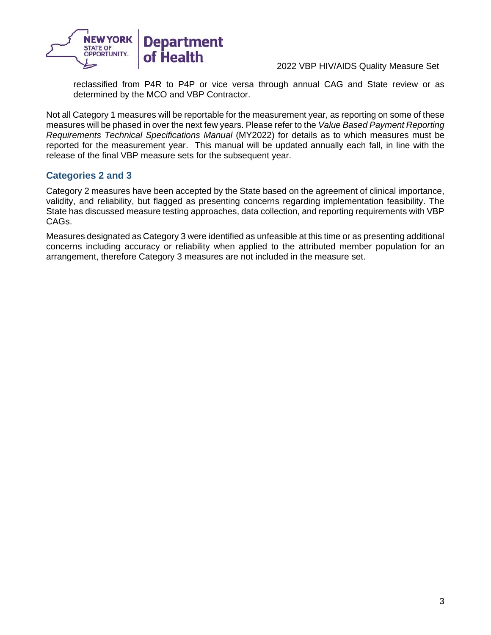

reclassified from P4R to P4P or vice versa through annual CAG and State review or as determined by the MCO and VBP Contractor.

Not all Category 1 measures will be reportable for the measurement year, as reporting on some of these measures will be phased in over the next few years. Please refer to the *Value Based Payment Reporting Requirements Technical Specifications Manual* (MY2022) for details as to which measures must be reported for the measurement year. This manual will be updated annually each fall, in line with the release of the final VBP measure sets for the subsequent year.

#### **Categories 2 and 3**

Category 2 measures have been accepted by the State based on the agreement of clinical importance, validity, and reliability, but flagged as presenting concerns regarding implementation feasibility. The State has discussed measure testing approaches, data collection, and reporting requirements with VBP CAGs.

Measures designated as Category 3 were identified as unfeasible at this time or as presenting additional concerns including accuracy or reliability when applied to the attributed member population for an arrangement, therefore Category 3 measures are not included in the measure set.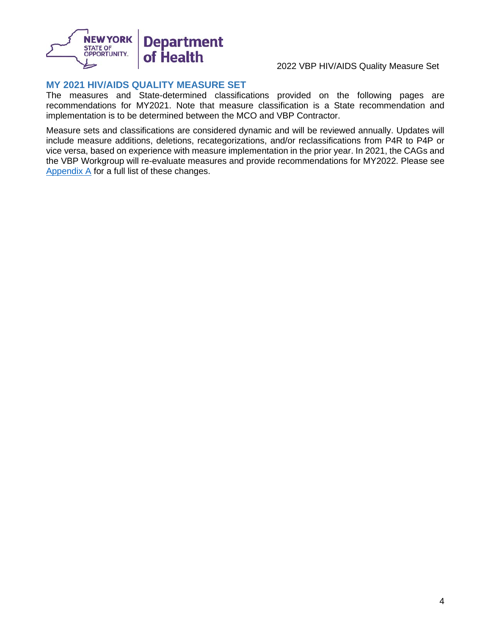

#### **MY 2021 HIV/AIDS QUALITY MEASURE SET**

The measures and State-determined classifications provided on the following pages are recommendations for MY2021. Note that measure classification is a State recommendation and implementation is to be determined between the MCO and VBP Contractor.

Measure sets and classifications are considered dynamic and will be reviewed annually. Updates will include measure additions, deletions, recategorizations, and/or reclassifications from P4R to P4P or vice versa, based on experience with measure implementation in the prior year. In 2021, the CAGs and the VBP Workgroup will re-evaluate measures and provide recommendations for MY2022. Please see [Appendix A](#page-11-0) for a full list of these changes.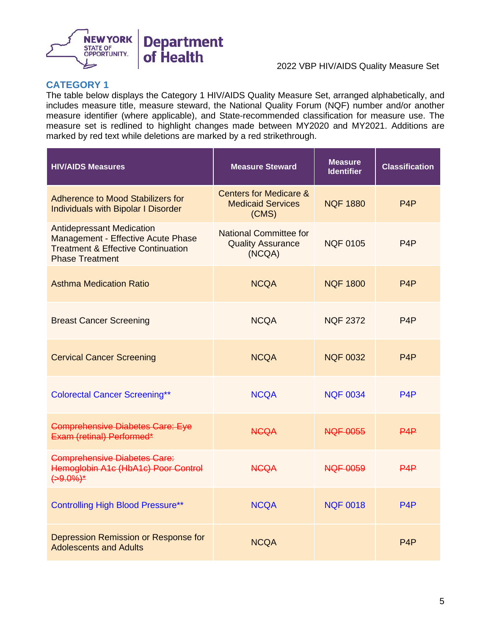

#### **CATEGORY 1**

The table below displays the Category 1 HIV/AIDS Quality Measure Set, arranged alphabetically, and includes measure title, measure steward, the National Quality Forum (NQF) number and/or another measure identifier (where applicable), and State-recommended classification for measure use. The measure set is redlined to highlight changes made between MY2020 and MY2021. Additions are marked by red text while deletions are marked by a red strikethrough.

| <b>HIV/AIDS Measures</b>                                                                                                                          | <b>Measure Steward</b>                                                 | <b>Measure</b><br><b>Identifier</b> | <b>Classification</b> |
|---------------------------------------------------------------------------------------------------------------------------------------------------|------------------------------------------------------------------------|-------------------------------------|-----------------------|
| Adherence to Mood Stabilizers for<br><b>Individuals with Bipolar I Disorder</b>                                                                   | <b>Centers for Medicare &amp;</b><br><b>Medicaid Services</b><br>(CMS) | <b>NOF 1880</b>                     | P <sub>4</sub> P      |
| <b>Antidepressant Medication</b><br>Management - Effective Acute Phase<br><b>Treatment &amp; Effective Continuation</b><br><b>Phase Treatment</b> | <b>National Committee for</b><br><b>Quality Assurance</b><br>(NCQA)    | <b>NQF 0105</b>                     | P <sub>4</sub> P      |
| <b>Asthma Medication Ratio</b>                                                                                                                    | <b>NCQA</b>                                                            | <b>NQF 1800</b>                     | P <sub>4</sub> P      |
| <b>Breast Cancer Screening</b>                                                                                                                    | <b>NCQA</b>                                                            | <b>NQF 2372</b>                     | P <sub>4</sub> P      |
| <b>Cervical Cancer Screening</b>                                                                                                                  | <b>NCQA</b>                                                            | <b>NQF 0032</b>                     | P <sub>4</sub> P      |
| <b>Colorectal Cancer Screening**</b>                                                                                                              | <b>NCQA</b>                                                            | <b>NQF 0034</b>                     | P <sub>4</sub> P      |
| <b>Comprehensive Diabetes Care: Eye</b><br>Exam (retinal) Performed*                                                                              | <b>NGQA</b>                                                            | <b>NQF 0055</b>                     | PAP                   |
| <b>Comprehensive Diabetes Care:</b><br>Hemoglobin A1c (HbA1c) Poor Control<br>$(+9.0\%)^*$                                                        | <b>NGQA</b>                                                            | <b>NQF 0059</b>                     | P4P                   |
| <b>Controlling High Blood Pressure**</b>                                                                                                          | <b>NCQA</b>                                                            | <b>NQF 0018</b>                     | P <sub>4</sub> P      |
| Depression Remission or Response for<br><b>Adolescents and Adults</b>                                                                             | <b>NCQA</b>                                                            |                                     | P4P                   |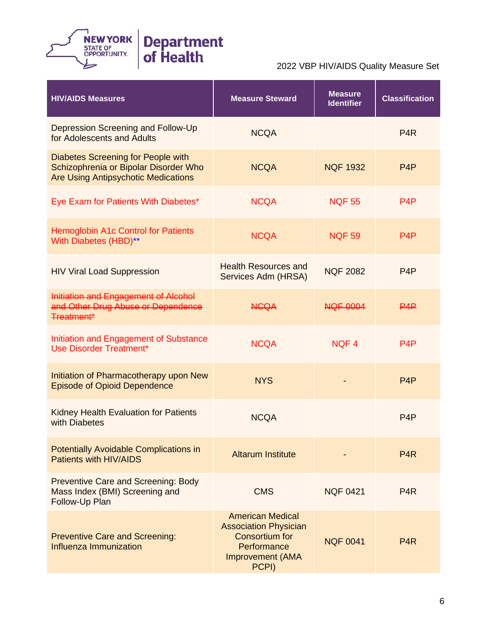

| <b>HIV/AIDS Measures</b>                                                                                                  | <b>Measure Steward</b>                                                                                                              | <b>Measure</b><br><b>Identifier</b> | <b>Classification</b> |
|---------------------------------------------------------------------------------------------------------------------------|-------------------------------------------------------------------------------------------------------------------------------------|-------------------------------------|-----------------------|
| Depression Screening and Follow-Up<br>for Adolescents and Adults                                                          | <b>NCQA</b>                                                                                                                         |                                     | P <sub>4</sub> R      |
| Diabetes Screening for People with<br>Schizophrenia or Bipolar Disorder Who<br><b>Are Using Antipsychotic Medications</b> | <b>NCQA</b>                                                                                                                         | <b>NQF 1932</b>                     | P <sub>4</sub> P      |
| Eye Exam for Patients With Diabetes*                                                                                      | <b>NCQA</b>                                                                                                                         | <b>NQF 55</b>                       | P4P                   |
| <b>Hemoglobin A1c Control for Patients</b><br>With Diabetes (HBD)**                                                       | <b>NCQA</b>                                                                                                                         | <b>NQF 59</b>                       | P <sub>4</sub> P      |
| <b>HIV Viral Load Suppression</b>                                                                                         | <b>Health Resources and</b><br>Services Adm (HRSA)                                                                                  | <b>NQF 2082</b>                     | P <sub>4</sub> P      |
| Initiation and Engagement of Alcohol<br>and Other Drug Abuse or Dependence<br><b>Treatment*</b>                           | <b>NCQA</b>                                                                                                                         | <b>NQF 0004</b>                     | PAP                   |
| Initiation and Engagement of Substance<br><b>Use Disorder Treatment*</b>                                                  | <b>NCQA</b>                                                                                                                         | NQF4                                | P4P                   |
| Initiation of Pharmacotherapy upon New<br><b>Episode of Opioid Dependence</b>                                             | <b>NYS</b>                                                                                                                          |                                     | P <sub>4</sub> P      |
| Kidney Health Evaluation for Patients<br>with Diabetes                                                                    | <b>NCQA</b>                                                                                                                         |                                     | P <sub>4</sub> P      |
| <b>Potentially Avoidable Complications in</b><br>Patients with HIV/AIDS                                                   | <b>Altarum Institute</b>                                                                                                            |                                     | P <sub>4</sub> R      |
| <b>Preventive Care and Screening: Body</b><br>Mass Index (BMI) Screening and<br>Follow-Up Plan                            | <b>CMS</b>                                                                                                                          | <b>NQF 0421</b>                     | P <sub>4</sub> R      |
| <b>Preventive Care and Screening:</b><br>Influenza Immunization                                                           | <b>American Medical</b><br><b>Association Physician</b><br><b>Consortium for</b><br>Performance<br><b>Improvement (AMA</b><br>PCPI) | <b>NQF 0041</b>                     | P <sub>4</sub> R      |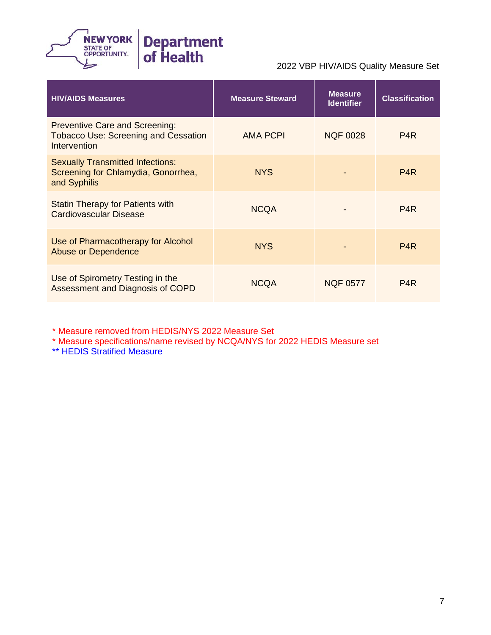

| <b>HIV/AIDS Measures</b>                                                                             | <b>Measure Steward</b> | <b>Measure</b><br><b>Identifier</b> | <b>Classification</b> |
|------------------------------------------------------------------------------------------------------|------------------------|-------------------------------------|-----------------------|
| <b>Preventive Care and Screening:</b><br><b>Tobacco Use: Screening and Cessation</b><br>Intervention | <b>AMA PCPI</b>        | <b>NQF 0028</b>                     | P <sub>4</sub> R      |
| <b>Sexually Transmitted Infections:</b><br>Screening for Chlamydia, Gonorrhea,<br>and Syphilis       | <b>NYS</b>             |                                     | P <sub>4</sub> R      |
| <b>Statin Therapy for Patients with</b><br><b>Cardiovascular Disease</b>                             | <b>NCQA</b>            |                                     | P <sub>4</sub> R      |
| Use of Pharmacotherapy for Alcohol<br><b>Abuse or Dependence</b>                                     | <b>NYS</b>             |                                     | P <sub>4</sub> R      |
| Use of Spirometry Testing in the<br>Assessment and Diagnosis of COPD                                 | <b>NCQA</b>            | <b>NQF 0577</b>                     | P <sub>4</sub> R      |

\* Measure removed from HEDIS/NYS 2022 Measure Set

\* Measure specifications/name revised by NCQA/NYS for 2022 HEDIS Measure set

\*\* HEDIS Stratified Measure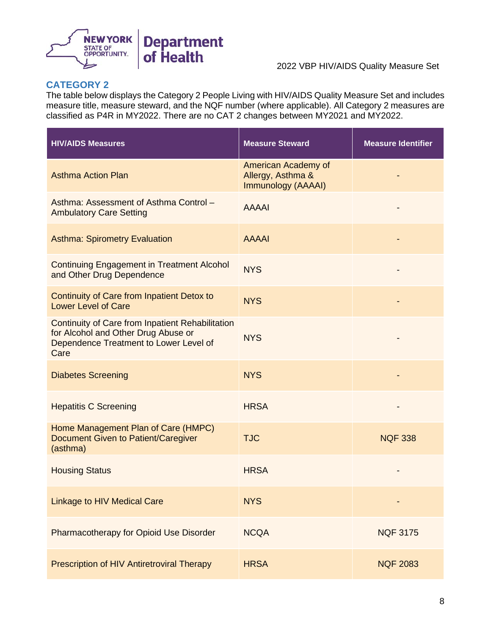

## **CATEGORY 2**

The table below displays the Category 2 People Living with HIV/AIDS Quality Measure Set and includes measure title, measure steward, and the NQF number (where applicable). All Category 2 measures are classified as P4R in MY2022. There are no CAT 2 changes between MY2021 and MY2022.

| <b>HIV/AIDS Measures</b>                                                                                                                         | <b>Measure Steward</b>                                         | <b>Measure Identifier</b> |
|--------------------------------------------------------------------------------------------------------------------------------------------------|----------------------------------------------------------------|---------------------------|
| <b>Asthma Action Plan</b>                                                                                                                        | American Academy of<br>Allergy, Asthma &<br>Immunology (AAAAI) |                           |
| Asthma: Assessment of Asthma Control -<br><b>Ambulatory Care Setting</b>                                                                         | <b>AAAAI</b>                                                   |                           |
| <b>Asthma: Spirometry Evaluation</b>                                                                                                             | <b>AAAAI</b>                                                   |                           |
| <b>Continuing Engagement in Treatment Alcohol</b><br>and Other Drug Dependence                                                                   | <b>NYS</b>                                                     |                           |
| Continuity of Care from Inpatient Detox to<br><b>Lower Level of Care</b>                                                                         | <b>NYS</b>                                                     |                           |
| <b>Continuity of Care from Inpatient Rehabilitation</b><br>for Alcohol and Other Drug Abuse or<br>Dependence Treatment to Lower Level of<br>Care | <b>NYS</b>                                                     |                           |
| <b>Diabetes Screening</b>                                                                                                                        | <b>NYS</b>                                                     |                           |
| <b>Hepatitis C Screening</b>                                                                                                                     | <b>HRSA</b>                                                    |                           |
| Home Management Plan of Care (HMPC)<br><b>Document Given to Patient/Caregiver</b><br>(asthma)                                                    | <b>TJC</b>                                                     | <b>NQF 338</b>            |
| <b>Housing Status</b>                                                                                                                            | <b>HRSA</b>                                                    |                           |
| <b>Linkage to HIV Medical Care</b>                                                                                                               | <b>NYS</b>                                                     |                           |
| Pharmacotherapy for Opioid Use Disorder                                                                                                          | <b>NCQA</b>                                                    | <b>NQF 3175</b>           |
| Prescription of HIV Antiretroviral Therapy                                                                                                       | <b>HRSA</b>                                                    | <b>NQF 2083</b>           |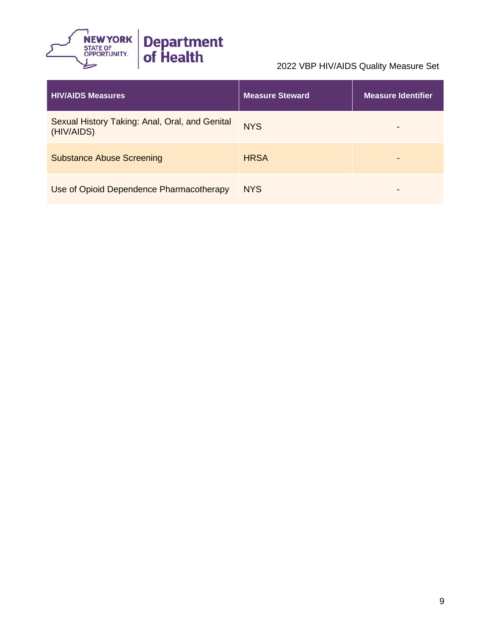

| <b>HIV/AIDS Measures</b>                                     | <b>Measure Steward</b> | <b>Measure Identifier</b> |
|--------------------------------------------------------------|------------------------|---------------------------|
| Sexual History Taking: Anal, Oral, and Genital<br>(HIV/AIDS) | <b>NYS</b>             |                           |
| <b>Substance Abuse Screening</b>                             | <b>HRSA</b>            |                           |
| Use of Opioid Dependence Pharmacotherapy                     | <b>NYS</b>             | -                         |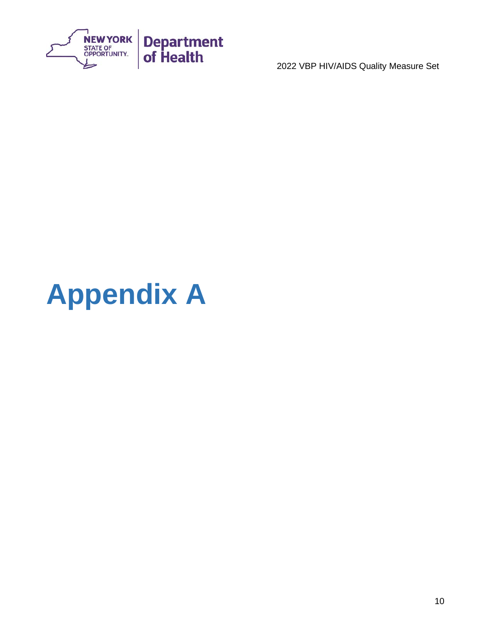

# <span id="page-11-0"></span>**Appendix A**